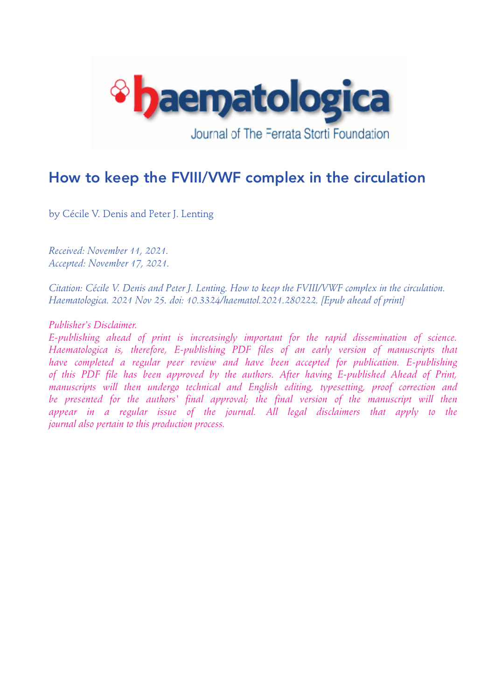

# How to keep the FVIII/VWF complex in the circulation

by Cécile V. Denis and Peter J. Lenting

*Received: November 11, 2021. Accepted: November 17, 2021.* 

*Citation: Cécile V. Denis and Peter J. Lenting. How to keep the FVIII/VWF complex in the circulation. Haematologica. 2021 Nov 25. doi: 10.3324/haematol.2021.280222. [Epub ahead of print]*

*Publisher's Disclaimer.* 

*E-publishing ahead of print is increasingly important for the rapid dissemination of science. Haematologica is, therefore, E-publishing PDF files of an early version of manuscripts that have completed a regular peer review and have been accepted for publication. E-publishing of this PDF file has been approved by the authors. After having E-published Ahead of Print, manuscripts will then undergo technical and English editing, typesetting, proof correction and*  be presented for the authors' final approval; the final version of the manuscript will then appear in a regular issue of the journal. All legal disclaimers that apply to the *journal also pertain to this production process.*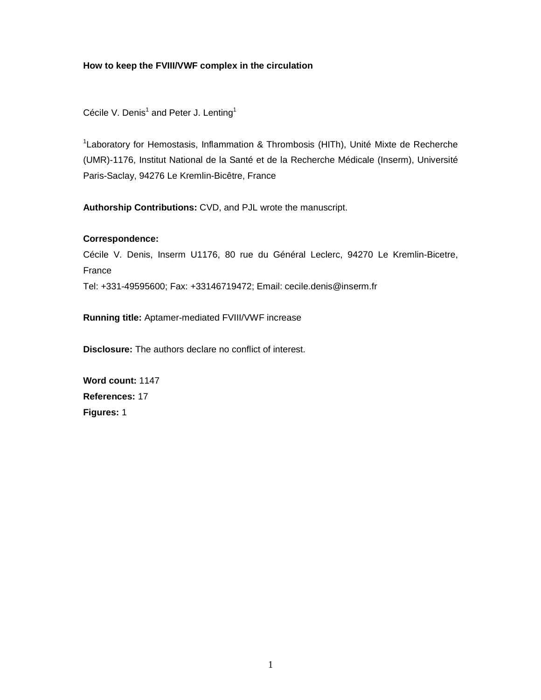# **How to keep the FVIII/VWF complex in the circulation**

Cécile V. Denis<sup>1</sup> and Peter J. Lenting<sup>1</sup>

<sup>1</sup> Laboratory for Hemostasis, Inflammation & Thrombosis (HITh), Unité Mixte de Recherche (UMR)-1176, Institut National de la Santé et de la Recherche Médicale (Inserm), Université Paris-Saclay, 94276 Le Kremlin-Bicêtre, France

**Authorship Contributions:** CVD, and PJL wrote the manuscript.

# **Correspondence:**

Cécile V. Denis, Inserm U1176, 80 rue du Général Leclerc, 94270 Le Kremlin-Bicetre, France

Tel: +331-49595600; Fax: +33146719472; Email: cecile.denis@inserm.fr

**Running title:** Aptamer-mediated FVIII/VWF increase

**Disclosure:** The authors declare no conflict of interest.

**Word count:** 1147 **References:** 17 **Figures:** 1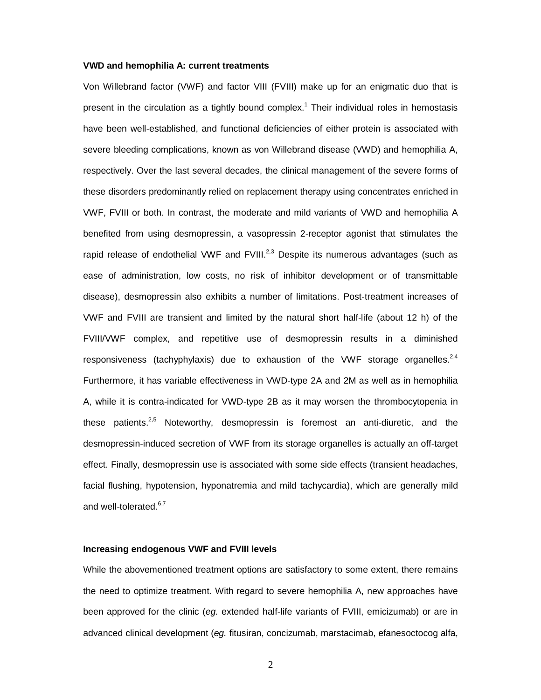#### **VWD and hemophilia A: current treatments**

Von Willebrand factor (VWF) and factor VIII (FVIII) make up for an enigmatic duo that is present in the circulation as a tightly bound complex.<sup>1</sup> Their individual roles in hemostasis have been well-established, and functional deficiencies of either protein is associated with severe bleeding complications, known as von Willebrand disease (VWD) and hemophilia A, respectively. Over the last several decades, the clinical management of the severe forms of these disorders predominantly relied on replacement therapy using concentrates enriched in VWF, FVIII or both. In contrast, the moderate and mild variants of VWD and hemophilia A benefited from using desmopressin, a vasopressin 2-receptor agonist that stimulates the rapid release of endothelial VWF and  $FVIII^{2,3}$  Despite its numerous advantages (such as ease of administration, low costs, no risk of inhibitor development or of transmittable disease), desmopressin also exhibits a number of limitations. Post-treatment increases of VWF and FVIII are transient and limited by the natural short half-life (about 12 h) of the FVIII/VWF complex, and repetitive use of desmopressin results in a diminished responsiveness (tachyphylaxis) due to exhaustion of the VWF storage organelles. $^{2,4}$ Furthermore, it has variable effectiveness in VWD-type 2A and 2M as well as in hemophilia A, while it is contra-indicated for VWD-type 2B as it may worsen the thrombocytopenia in these patients. $2.5$  Noteworthy, desmopressin is foremost an anti-diuretic, and the desmopressin-induced secretion of VWF from its storage organelles is actually an off-target effect. Finally, desmopressin use is associated with some side effects (transient headaches, facial flushing, hypotension, hyponatremia and mild tachycardia), which are generally mild and well-tolerated.<sup>6,7</sup>

#### **Increasing endogenous VWF and FVIII levels**

While the abovementioned treatment options are satisfactory to some extent, there remains the need to optimize treatment. With regard to severe hemophilia A, new approaches have been approved for the clinic (*eg.* extended half-life variants of FVIII, emicizumab) or are in advanced clinical development (*eg.* fitusiran, concizumab, marstacimab, efanesoctocog alfa,

2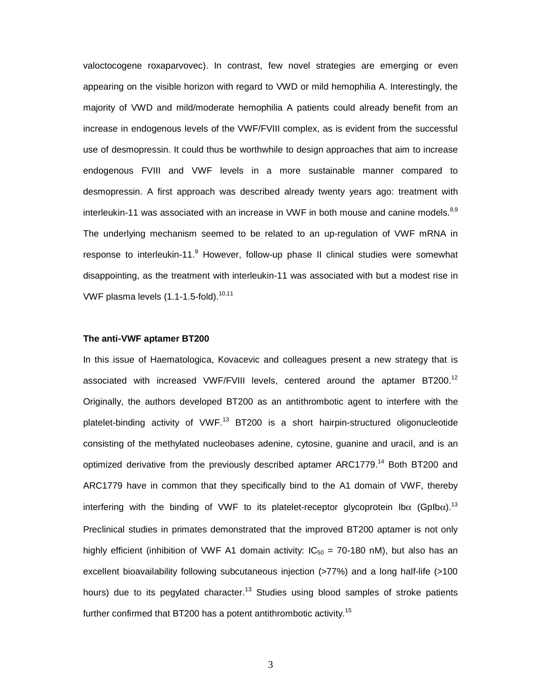valoctocogene roxaparvovec). In contrast, few novel strategies are emerging or even appearing on the visible horizon with regard to VWD or mild hemophilia A. Interestingly, the majority of VWD and mild/moderate hemophilia A patients could already benefit from an increase in endogenous levels of the VWF/FVIII complex, as is evident from the successful use of desmopressin. It could thus be worthwhile to design approaches that aim to increase endogenous FVIII and VWF levels in a more sustainable manner compared to desmopressin. A first approach was described already twenty years ago: treatment with interleukin-11 was associated with an increase in VWF in both mouse and canine models.<sup>8,9</sup> The underlying mechanism seemed to be related to an up-regulation of VWF mRNA in response to interleukin-11.<sup>9</sup> However, follow-up phase II clinical studies were somewhat disappointing, as the treatment with interleukin-11 was associated with but a modest rise in VWF plasma levels  $(1.1-1.5-fold).<sup>10,11</sup>$ 

#### **The anti-VWF aptamer BT200**

In this issue of Haematologica, Kovacevic and colleagues present a new strategy that is associated with increased VWF/FVIII levels, centered around the aptamer BT200.<sup>12</sup> Originally, the authors developed BT200 as an antithrombotic agent to interfere with the platelet-binding activity of VWF.<sup>13</sup> BT200 is a short hairpin-structured oligonucleotide consisting of the methylated nucleobases adenine, cytosine, guanine and uracil, and is an optimized derivative from the previously described aptamer ARC1779.<sup>14</sup> Both BT200 and ARC1779 have in common that they specifically bind to the A1 domain of VWF, thereby interfering with the binding of VWF to its platelet-receptor glycoprotein  $I\alpha$  (GpIb $\alpha$ ).<sup>13</sup> Preclinical studies in primates demonstrated that the improved BT200 aptamer is not only highly efficient (inhibition of VWF A1 domain activity:  $IC_{50} = 70-180$  nM), but also has an excellent bioavailability following subcutaneous injection (>77%) and a long half-life (>100 hours) due to its pegylated character.<sup>13</sup> Studies using blood samples of stroke patients further confirmed that BT200 has a potent antithrombotic activity.<sup>15</sup>

3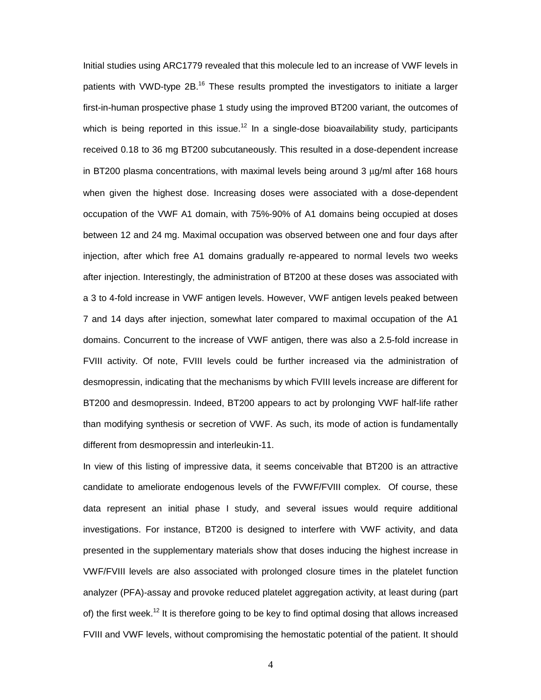Initial studies using ARC1779 revealed that this molecule led to an increase of VWF levels in patients with VWD-type  $2B^{16}$  These results prompted the investigators to initiate a larger first-in-human prospective phase 1 study using the improved BT200 variant, the outcomes of which is being reported in this issue.<sup>12</sup> In a single-dose bioavailability study, participants received 0.18 to 36 mg BT200 subcutaneously. This resulted in a dose-dependent increase in BT200 plasma concentrations, with maximal levels being around 3 μg/ml after 168 hours when given the highest dose. Increasing doses were associated with a dose-dependent occupation of the VWF A1 domain, with 75%-90% of A1 domains being occupied at doses between 12 and 24 mg. Maximal occupation was observed between one and four days after injection, after which free A1 domains gradually re-appeared to normal levels two weeks after injection. Interestingly, the administration of BT200 at these doses was associated with a 3 to 4-fold increase in VWF antigen levels. However, VWF antigen levels peaked between 7 and 14 days after injection, somewhat later compared to maximal occupation of the A1 domains. Concurrent to the increase of VWF antigen, there was also a 2.5-fold increase in FVIII activity. Of note, FVIII levels could be further increased via the administration of desmopressin, indicating that the mechanisms by which FVIII levels increase are different for BT200 and desmopressin. Indeed, BT200 appears to act by prolonging VWF half-life rather than modifying synthesis or secretion of VWF. As such, its mode of action is fundamentally different from desmopressin and interleukin-11.

In view of this listing of impressive data, it seems conceivable that BT200 is an attractive candidate to ameliorate endogenous levels of the FVWF/FVIII complex. Of course, these data represent an initial phase I study, and several issues would require additional investigations. For instance, BT200 is designed to interfere with VWF activity, and data presented in the supplementary materials show that doses inducing the highest increase in VWF/FVIII levels are also associated with prolonged closure times in the platelet function analyzer (PFA)-assay and provoke reduced platelet aggregation activity, at least during (part of) the first week.<sup>12</sup> It is therefore going to be key to find optimal dosing that allows increased FVIII and VWF levels, without compromising the hemostatic potential of the patient. It should

4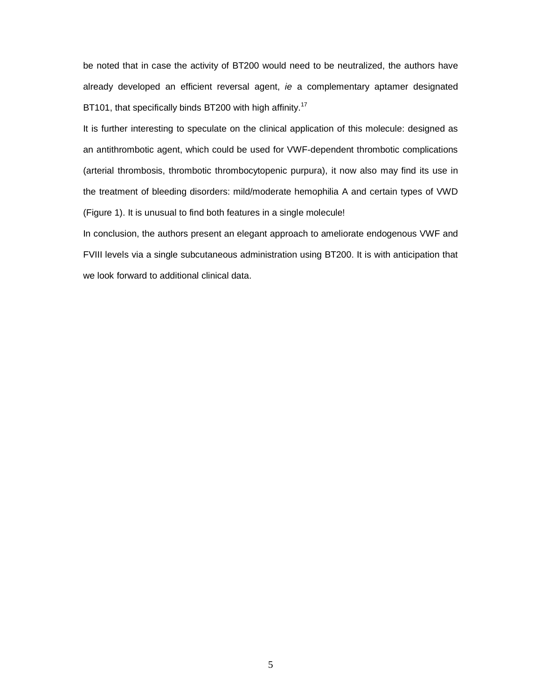be noted that in case the activity of BT200 would need to be neutralized, the authors have already developed an efficient reversal agent, *ie* a complementary aptamer designated BT101, that specifically binds BT200 with high affinity.<sup>17</sup>

It is further interesting to speculate on the clinical application of this molecule: designed as an antithrombotic agent, which could be used for VWF-dependent thrombotic complications (arterial thrombosis, thrombotic thrombocytopenic purpura), it now also may find its use in the treatment of bleeding disorders: mild/moderate hemophilia A and certain types of VWD (Figure 1). It is unusual to find both features in a single molecule!

In conclusion, the authors present an elegant approach to ameliorate endogenous VWF and FVIII levels via a single subcutaneous administration using BT200. It is with anticipation that we look forward to additional clinical data.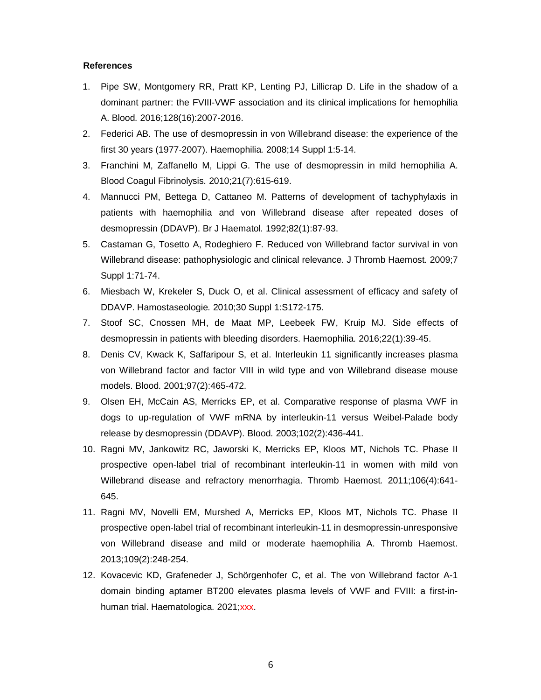## **References**

- 1. Pipe SW, Montgomery RR, Pratt KP, Lenting PJ, Lillicrap D. Life in the shadow of a dominant partner: the FVIII-VWF association and its clinical implications for hemophilia A. Blood*.* 2016;128(16):2007-2016.
- 2. Federici AB. The use of desmopressin in von Willebrand disease: the experience of the first 30 years (1977-2007). Haemophilia*.* 2008;14 Suppl 1:5-14.
- 3. Franchini M, Zaffanello M, Lippi G. The use of desmopressin in mild hemophilia A. Blood Coagul Fibrinolysis*.* 2010;21(7):615-619.
- 4. Mannucci PM, Bettega D, Cattaneo M. Patterns of development of tachyphylaxis in patients with haemophilia and von Willebrand disease after repeated doses of desmopressin (DDAVP). Br J Haematol*.* 1992;82(1):87-93.
- 5. Castaman G, Tosetto A, Rodeghiero F. Reduced von Willebrand factor survival in von Willebrand disease: pathophysiologic and clinical relevance. J Thromb Haemost*.* 2009;7 Suppl 1:71-74.
- 6. Miesbach W, Krekeler S, Duck O, et al. Clinical assessment of efficacy and safety of DDAVP. Hamostaseologie*.* 2010;30 Suppl 1:S172-175.
- 7. Stoof SC, Cnossen MH, de Maat MP, Leebeek FW, Kruip MJ. Side effects of desmopressin in patients with bleeding disorders. Haemophilia*.* 2016;22(1):39-45.
- 8. Denis CV, Kwack K, Saffaripour S, et al. Interleukin 11 significantly increases plasma von Willebrand factor and factor VIII in wild type and von Willebrand disease mouse models. Blood*.* 2001;97(2):465-472.
- 9. Olsen EH, McCain AS, Merricks EP, et al. Comparative response of plasma VWF in dogs to up-regulation of VWF mRNA by interleukin-11 versus Weibel-Palade body release by desmopressin (DDAVP). Blood*.* 2003;102(2):436-441.
- 10. Ragni MV, Jankowitz RC, Jaworski K, Merricks EP, Kloos MT, Nichols TC. Phase II prospective open-label trial of recombinant interleukin-11 in women with mild von Willebrand disease and refractory menorrhagia. Thromb Haemost*.* 2011;106(4):641- 645.
- 11. Ragni MV, Novelli EM, Murshed A, Merricks EP, Kloos MT, Nichols TC. Phase II prospective open-label trial of recombinant interleukin-11 in desmopressin-unresponsive von Willebrand disease and mild or moderate haemophilia A. Thromb Haemost. 2013;109(2):248-254.
- 12. Kovacevic KD, Grafeneder J, Schörgenhofer C, et al. The von Willebrand factor A-1 domain binding aptamer BT200 elevates plasma levels of VWF and FVIII: a first-inhuman trial. Haematologica. 2021;xxx.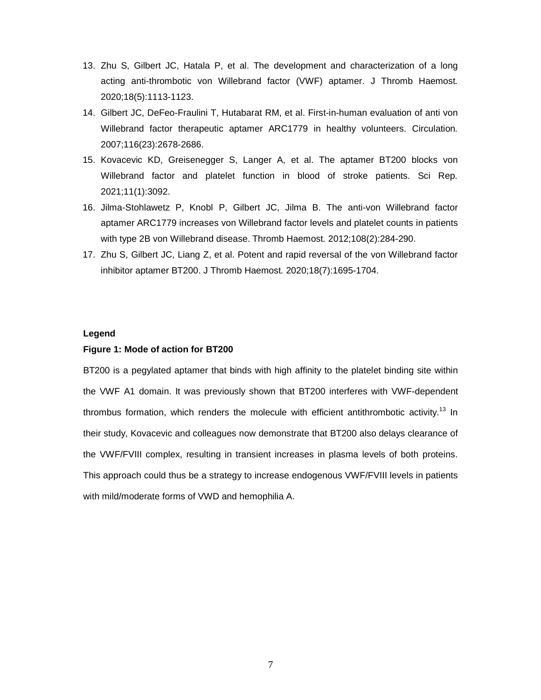- 13. Zhu S, Gilbert JC, Hatala P, et al. The development and characterization of a long acting anti-thrombotic von Willebrand factor (VWF) aptamer. J Thromb Haemost*.*  2020;18(5):1113-1123.
- 14. Gilbert JC, DeFeo-Fraulini T, Hutabarat RM, et al. First-in-human evaluation of anti von Willebrand factor therapeutic aptamer ARC1779 in healthy volunteers. Circulation*.*  2007;116(23):2678-2686.
- 15. Kovacevic KD, Greisenegger S, Langer A, et al. The aptamer BT200 blocks von Willebrand factor and platelet function in blood of stroke patients. Sci Rep*.*  2021;11(1):3092.
- 16. Jilma-Stohlawetz P, Knobl P, Gilbert JC, Jilma B. The anti-von Willebrand factor aptamer ARC1779 increases von Willebrand factor levels and platelet counts in patients with type 2B von Willebrand disease. Thromb Haemost*.* 2012;108(2):284-290.
- 17. Zhu S, Gilbert JC, Liang Z, et al. Potent and rapid reversal of the von Willebrand factor inhibitor aptamer BT200. J Thromb Haemost*.* 2020;18(7):1695-1704.

## **Legend**

## **Figure 1: Mode of action for BT200**

BT200 is a pegylated aptamer that binds with high affinity to the platelet binding site within the VWF A1 domain. It was previously shown that BT200 interferes with VWF-dependent thrombus formation, which renders the molecule with efficient antithrombotic activity.<sup>13</sup> In their study, Kovacevic and colleagues now demonstrate that BT200 also delays clearance of the VWF/FVIII complex, resulting in transient increases in plasma levels of both proteins. This approach could thus be a strategy to increase endogenous VWF/FVIII levels in patients with mild/moderate forms of VWD and hemophilia A.